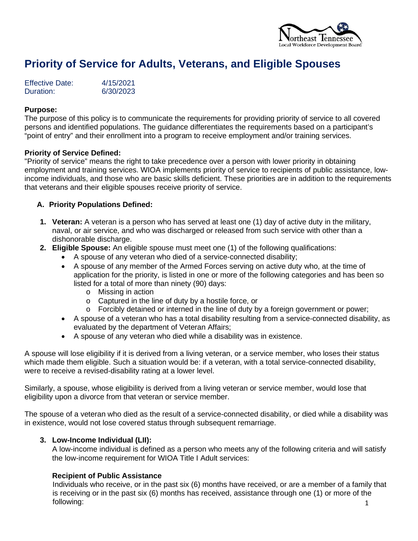

# **Priority of Service for Adults, Veterans, and Eligible Spouses**

| <b>Effective Date:</b> | 4/15/2021 |
|------------------------|-----------|
| Duration:              | 6/30/2023 |

#### **Purpose:**

The purpose of this policy is to communicate the requirements for providing priority of service to all covered persons and identified populations. The guidance differentiates the requirements based on a participant's "point of entry" and their enrollment into a program to receive employment and/or training services.

#### **Priority of Service Defined:**

"Priority of service" means the right to take precedence over a person with lower priority in obtaining employment and training services. WIOA implements priority of service to recipients of public assistance, lowincome individuals, and those who are basic skills deficient. These priorities are in addition to the requirements that veterans and their eligible spouses receive priority of service.

#### **A. Priority Populations Defined:**

- **1. Veteran:** A veteran is a person who has served at least one (1) day of active duty in the military, naval, or air service, and who was discharged or released from such service with other than a dishonorable discharge.
- **2. Eligible Spouse:** An eligible spouse must meet one (1) of the following qualifications:
	- A spouse of any veteran who died of a service-connected disability;
	- A spouse of any member of the Armed Forces serving on active duty who, at the time of application for the priority, is listed in one or more of the following categories and has been so listed for a total of more than ninety (90) days:
		- o Missing in action
		- o Captured in the line of duty by a hostile force, or
		- $\circ$  Forcibly detained or interned in the line of duty by a foreign government or power;
	- A spouse of a veteran who has a total disability resulting from a service-connected disability, as evaluated by the department of Veteran Affairs;
	- A spouse of any veteran who died while a disability was in existence.

A spouse will lose eligibility if it is derived from a living veteran, or a service member, who loses their status which made them eligible. Such a situation would be: if a veteran, with a total service-connected disability, were to receive a revised-disability rating at a lower level.

Similarly, a spouse, whose eligibility is derived from a living veteran or service member, would lose that eligibility upon a divorce from that veteran or service member.

The spouse of a veteran who died as the result of a service-connected disability, or died while a disability was in existence, would not lose covered status through subsequent remarriage.

## **3. Low-Income Individual (LII):**

A low-income individual is defined as a person who meets any of the following criteria and will satisfy the low-income requirement for WIOA Title I Adult services:

#### **Recipient of Public Assistance**

1 Individuals who receive, or in the past six (6) months have received, or are a member of a family that is receiving or in the past six (6) months has received, assistance through one (1) or more of the following: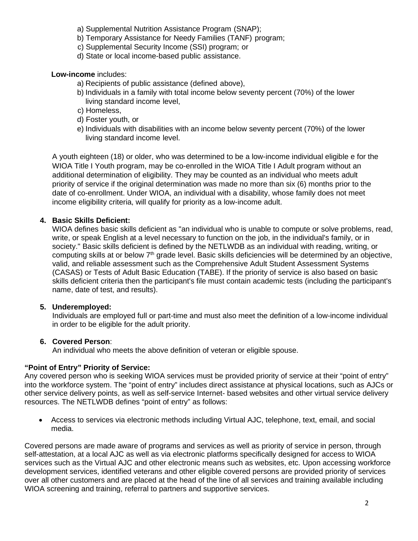- a) Supplemental Nutrition Assistance Program (SNAP);
- b) Temporary Assistance for Needy Families (TANF) program;
- c) Supplemental Security Income (SSI) program; or
- d) State or local income-based public assistance.

**Low-income** includes:

- a) Recipients of public assistance (defined above),
- b) Individuals in a family with total income below seventy percent (70%) of the lower living standard income level,
- c) Homeless,
- d) Foster youth, or
- e) Individuals with disabilities with an income below seventy percent (70%) of the lower living standard income level.

A youth eighteen (18) or older, who was determined to be a low-income individual eligible e for the WIOA Title I Youth program, may be co-enrolled in the WIOA Title I Adult program without an additional determination of eligibility. They may be counted as an individual who meets adult priority of service if the original determination was made no more than six (6) months prior to the date of co-enrollment. Under WIOA, an individual with a disability, whose family does not meet income eligibility criteria, will qualify for priority as a low-income adult.

# **4. Basic Skills Deficient:**

WIOA defines basic skills deficient as "an individual who is unable to compute or solve problems, read, write, or speak English at a level necessary to function on the job, in the individual's family, or in society." Basic skills deficient is defined by the NETLWDB as an individual with reading, writing, or computing skills at or below 7<sup>th</sup> grade level. Basic skills deficiencies will be determined by an objective, valid, and reliable assessment such as the Comprehensive Adult Student Assessment Systems (CASAS) or Tests of Adult Basic Education (TABE). If the priority of service is also based on basic skills deficient criteria then the participant's file must contain academic tests (including the participant's name, date of test, and results).

## **5. Underemployed:**

Individuals are employed full or part-time and must also meet the definition of a low-income individual in order to be eligible for the adult priority.

# **6. Covered Person**:

An individual who meets the above definition of veteran or eligible spouse.

# **"Point of Entry" Priority of Service:**

Any covered person who is seeking WIOA services must be provided priority of service at their "point of entry" into the workforce system. The "point of entry" includes direct assistance at physical locations, such as AJCs or other service delivery points, as well as self-service Internet- based websites and other virtual service delivery resources. The NETLWDB defines "point of entry" as follows:

• Access to services via electronic methods including Virtual AJC, telephone, text, email, and social media.

Covered persons are made aware of programs and services as well as priority of service in person, through self-attestation, at a local AJC as well as via electronic platforms specifically designed for access to WIOA services such as the Virtual AJC and other electronic means such as websites, etc. Upon accessing workforce development services, identified veterans and other eligible covered persons are provided priority of services over all other customers and are placed at the head of the line of all services and training available including WIOA screening and training, referral to partners and supportive services.